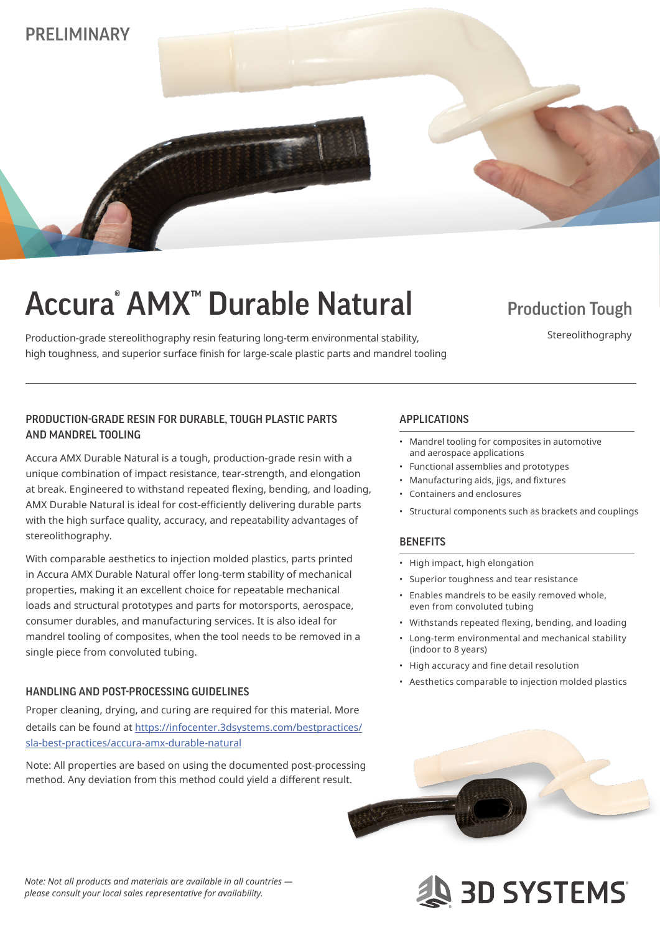

# Accura<sup>®</sup> AMX<sup>™</sup> Durable Natural Production Tough

Production-grade stereolithography resin featuring long-term environmental stability, high toughness, and superior surface finish for large-scale plastic parts and mandrel tooling

Stereolithography

## PRODUCTION-GRADE RESIN FOR DURABLE, TOUGH PLASTIC PARTS APPLICATIONS AND MANDREL TOOLING

Accura AMX Durable Natural is a tough, production-grade resin with a unique combination of impact resistance, tear-strength, and elongation at break. Engineered to withstand repeated flexing, bending, and loading, AMX Durable Natural is ideal for cost-efficiently delivering durable parts with the high surface quality, accuracy, and repeatability advantages of stereolithography.

With comparable aesthetics to injection molded plastics, parts printed in Accura AMX Durable Natural offer long-term stability of mechanical properties, making it an excellent choice for repeatable mechanical loads and structural prototypes and parts for motorsports, aerospace, consumer durables, and manufacturing services. It is also ideal for mandrel tooling of composites, when the tool needs to be removed in a single piece from convoluted tubing.

### HANDLING AND POST-PROCESSING GUIDELINES

Proper cleaning, drying, and curing are required for this material. More details can be found at https://infocenter.3dsystems.com/bestpractices/ sla-best-practices/accura-amx-durable-natural

Note: All properties are based on using the documented post-processing method. Any deviation from this method could yield a different result.

- Mandrel tooling for composites in automotive and aerospace applications
- Functional assemblies and prototypes
- Manufacturing aids, jigs, and fixtures
- Containers and enclosures
- Structural components such as brackets and couplings

### **BENEFITS**

- High impact, high elongation
- Superior toughness and tear resistance
- Enables mandrels to be easily removed whole, even from convoluted tubing
- Withstands repeated flexing, bending, and loading
- Long-term environmental and mechanical stability (indoor to 8 years)
- High accuracy and fine detail resolution
- Aesthetics comparable to injection molded plastics



**AS 3D SYSTEMS** 

*Note: Not all products and materials are available in all countries please consult your local sales representative for availability.*